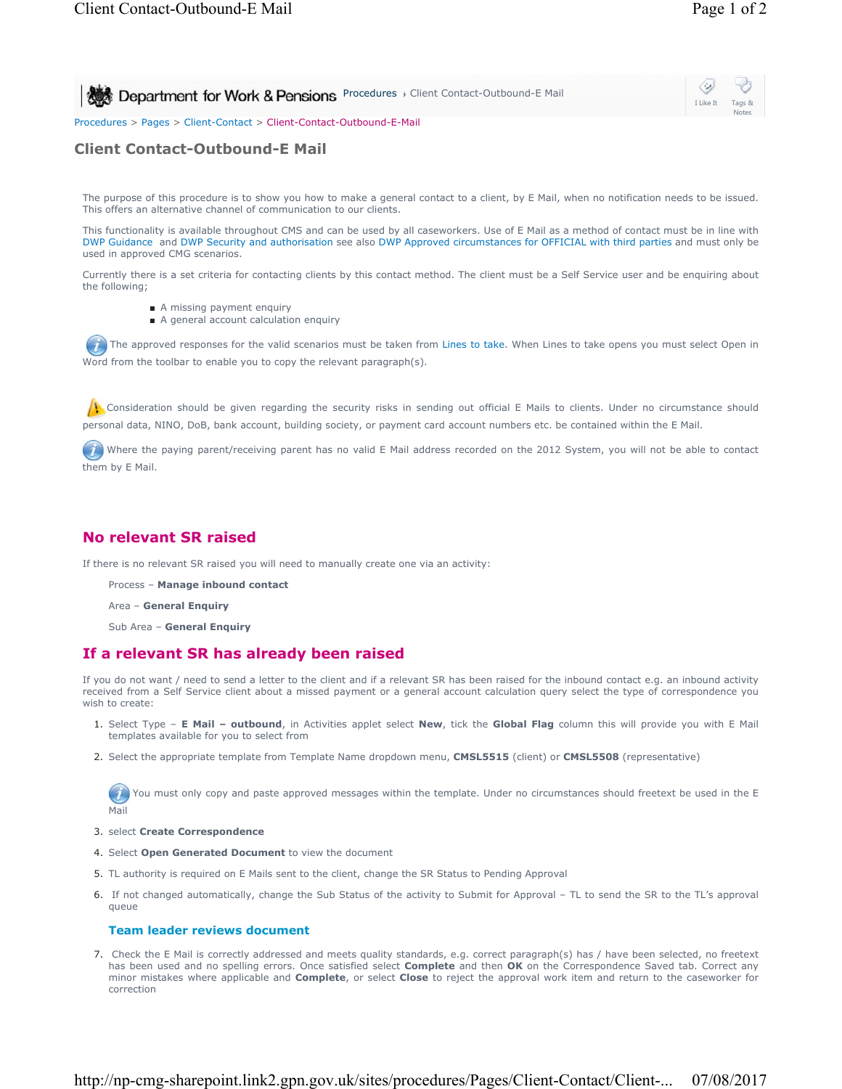I Like It Tags & Notes

**Procedures > Client Contact-Outbound-E Mail** 

Procedures > Pages > Client-Contact > Client-Contact-Outbound-E-Mail

# **Client Contact-Outbound-E Mail**

The purpose of this procedure is to show you how to make a general contact to a client, by E Mail, when no notification needs to be issued. This offers an alternative channel of communication to our clients.

This functionality is available throughout CMS and can be used by all caseworkers. Use of E Mail as a method of contact must be in line with DWP Guidance and DWP Security and authorisation see also DWP Approved circumstances for OFFICIAL with third parties and must only be used in approved CMG scenarios.

Currently there is a set criteria for contacting clients by this contact method. The client must be a Self Service user and be enquiring about the following;

- A missing payment enquiry
- A general account calculation enquiry

The approved responses for the valid scenarios must be taken from Lines to take. When Lines to take opens you must select Open in Word from the toolbar to enable you to copy the relevant paragraph(s).

**Consideration should be given regarding the security risks in sending out official E Mails to clients. Under no circumstance should** personal data, NINO, DoB, bank account, building society, or payment card account numbers etc. be contained within the E Mail.

 Where the paying parent/receiving parent has no valid E Mail address recorded on the 2012 System, you will not be able to contact them by E Mail.

## **No relevant SR raised**

If there is no relevant SR raised you will need to manually create one via an activity:

- Process **Manage inbound contact**
- Area **General Enquiry**
- Sub Area **General Enquiry**

### **If a relevant SR has already been raised**

If you do not want / need to send a letter to the client and if a relevant SR has been raised for the inbound contact e.g. an inbound activity received from a Self Service client about a missed payment or a general account calculation query select the type of correspondence you wish to create:

- 1. Select Type E Mail outbound, in Activities applet select New, tick the Global Flag column this will provide you with E Mail templates available for you to select from
- 2. Select the appropriate template from Template Name dropdown menu, **CMSL5515** (client) or **CMSL5508** (representative)

 $(\mathcal{T})$ You must only copy and paste approved messages within the template. Under no circumstances should freetext be used in the E Mail

- 3. select **Create Correspondence**
- 4. Select **Open Generated Document** to view the document
- 5. TL authority is required on E Mails sent to the client, change the SR Status to Pending Approval
- 6. If not changed automatically, change the Sub Status of the activity to Submit for Approval TL to send the SR to the TL's approval queue

### **Team leader reviews document**

7. Check the E Mail is correctly addressed and meets quality standards, e.g. correct paragraph(s) has / have been selected, no freetext has been used and no spelling errors. Once satisfied select **Complete** and then **OK** on the Correspondence Saved tab. Correct any minor mistakes where applicable and **Complete**, or select **Close** to reject the approval work item and return to the caseworker for correction